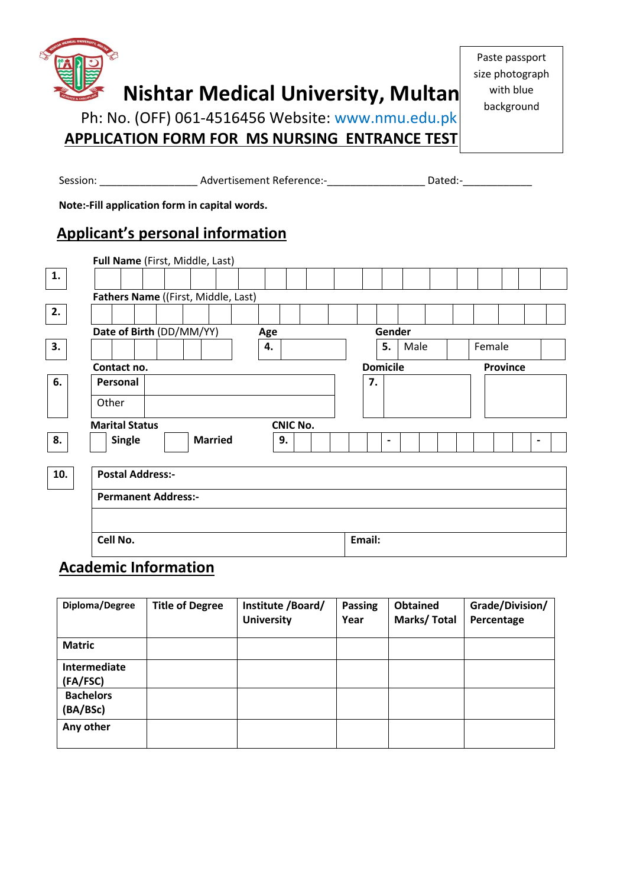

Paste passport size photograph with blue background

Session: \_\_\_\_\_\_\_\_\_\_\_\_\_\_\_\_\_\_\_\_\_\_\_ Advertisement Reference:-\_\_\_\_\_\_\_\_\_\_\_\_\_\_\_\_\_\_\_\_\_\_ Dated:-\_\_\_\_\_\_\_\_\_\_\_

 **Note:-Fill application form in capital words.**

# **Applicant's personal information**

|     |                            | Full Name (First, Middle, Last)     |                 |                 |                 |  |  |
|-----|----------------------------|-------------------------------------|-----------------|-----------------|-----------------|--|--|
| 1.  |                            |                                     |                 |                 |                 |  |  |
|     |                            | Fathers Name ((First, Middle, Last) |                 |                 |                 |  |  |
| 2.  |                            |                                     |                 |                 |                 |  |  |
|     | Date of Birth (DD/MM/YY)   |                                     | Age             | Gender          |                 |  |  |
| 3.  |                            |                                     | 4.              | 5.<br>Male      | Female          |  |  |
|     | Contact no.                |                                     |                 | <b>Domicile</b> | <b>Province</b> |  |  |
| 6.  | Personal                   |                                     |                 | 7.              |                 |  |  |
|     | Other                      |                                     |                 |                 |                 |  |  |
|     | <b>Marital Status</b>      |                                     | <b>CNIC No.</b> |                 |                 |  |  |
| 8.  | Single                     | <b>Married</b>                      | 9.              | $\blacksquare$  | $\blacksquare$  |  |  |
|     |                            |                                     |                 |                 |                 |  |  |
| 10. | <b>Postal Address:-</b>    |                                     |                 |                 |                 |  |  |
|     | <b>Permanent Address:-</b> |                                     |                 |                 |                 |  |  |
|     |                            |                                     |                 |                 |                 |  |  |
|     | Cell No.                   |                                     |                 | Email:          |                 |  |  |
|     |                            |                                     |                 |                 |                 |  |  |

## **Academic Information**

| Diploma/Degree               | <b>Title of Degree</b> | Institute /Board/<br><b>University</b> | Passing<br>Year | <b>Obtained</b><br>Marks/Total | Grade/Division/<br>Percentage |
|------------------------------|------------------------|----------------------------------------|-----------------|--------------------------------|-------------------------------|
| <b>Matric</b>                |                        |                                        |                 |                                |                               |
| Intermediate<br>(FA/FSC)     |                        |                                        |                 |                                |                               |
| <b>Bachelors</b><br>(BA/BSc) |                        |                                        |                 |                                |                               |
| Any other                    |                        |                                        |                 |                                |                               |